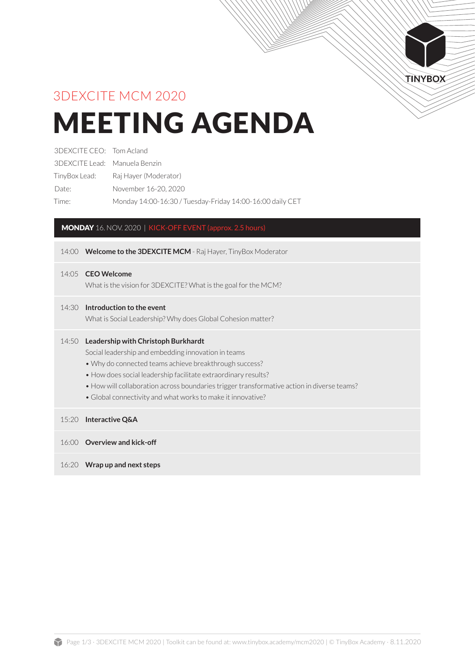

## 3DEXCITE MCM 2020

# MEETING AGENDA

| 3DEXCITE CEO: Tom Acland      |                                                           |
|-------------------------------|-----------------------------------------------------------|
| 3DEXCITE Lead: Manuela Benzin |                                                           |
| TinyBox Lead:                 | Rai Hayer (Moderator)                                     |
| Date:                         | November 16-20, 2020                                      |
| Time:                         | Monday 14:00-16:30 / Tuesday-Friday 14:00-16:00 daily CET |

## MONDAY 16. NOV. 2020 | KICK-OFF EVENT (approx. 2.5 hours)

14:00 **Welcome to the 3DEXCITE MCM** - Raj Hayer, TinyBox Moderator

#### 14:05 **CEO Welcome**

What is the vision for 3DEXCITE? What is the goal for the MCM?

#### 14:30 **Introduction to the event**

What is Social Leadership? Why does Global Cohesion matter?

#### 14:50 **Leadership with Christoph Burkhardt**

Social leadership and embedding innovation in teams

- Why do connected teams achieve breakthrough success?
- How does social leadership facilitate extraordinary results?
- How will collaboration across boundaries trigger transformative action in diverse teams?
- Global connectivity and what works to make it innovative?

#### 15:20 **Interactive Q&A**

16:00 **Overview and kick-off** 

#### 16:20 **Wrap up and next steps**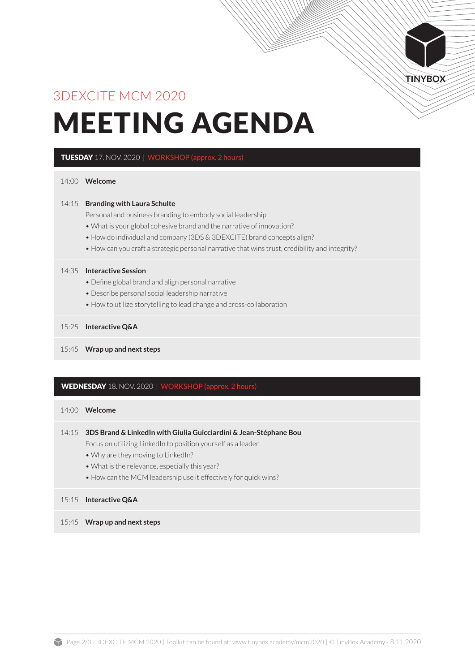

## 3DEXCITE MCM 2020 MEETING AGENDA

## TUESDAY 17. NOV. 2020 | WORKSHOP (approx. 2 hours)

#### 14:00 **Welcome**

#### 14:15 **Branding with Laura Schulte**

Personal and business branding to embody social leadership

- What is your global cohesive brand and the narrative of innovation?
- How do individual and company (3DS & 3DEXCITE) brand concepts align?
- How can you craft a strategic personal narrative that wins trust, credibility and integrity?

#### 14:35 **Interactive Session**

- Define global brand and align personal narrative
- Describe personal social leadership narrative
- How to utilize storytelling to lead change and cross-collaboration

#### 15:25 **Interactive Q&A**

15:45 **Wrap up and next steps**

#### WEDNESDAY 18. NOV. 2020 | WORKSHOP (approx. 2 hours)

#### 14:00 **Welcome**

## 14:15 **3DS Brand & LinkedIn with Giulia Guicciardini & Jean-Stéphane Bou**

Focus on utilizing LinkedIn to position yourself as a leader

- Why are they moving to LinkedIn?
- What is the relevance, especially this year?
- How can the MCM leadership use it effectively for quick wins?

#### 15:15 **Interactive Q&A**

15:45 **Wrap up and next steps**